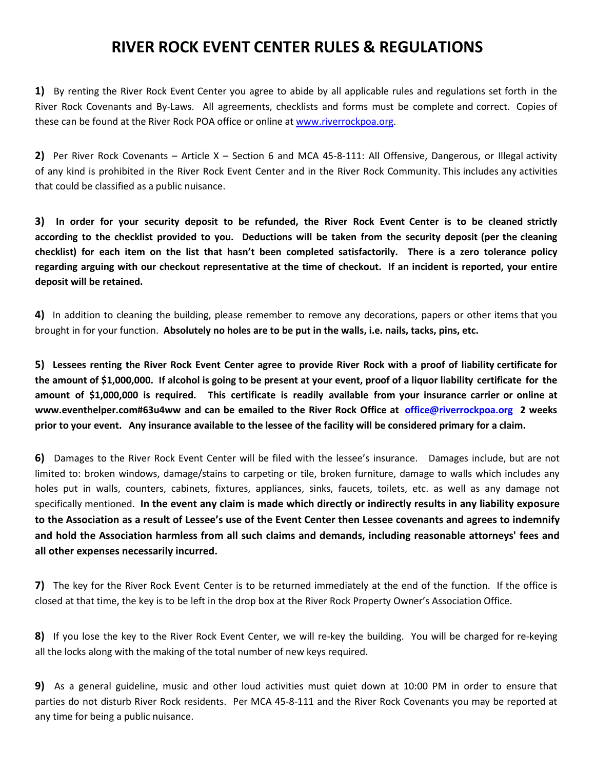## **RIVER ROCK EVENT CENTER RULES & REGULATIONS**

**1)** By renting the River Rock Event Center you agree to abide by all applicable rules and regulations set forth in the River Rock Covenants and By-Laws. All agreements, checklists and forms must be complete and correct. Copies of these can be found at the River Rock POA office or online a[t www.riverrockpoa.org.](http://www.riverrockpoa.org/)

**2)** Per River Rock Covenants – Article X – Section 6 and MCA 45-8-111: All Offensive, Dangerous, or Illegal activity of any kind is prohibited in the River Rock Event Center and in the River Rock Community. This includes any activities that could be classified as a public nuisance.

3) In order for your security deposit to be refunded, the River Rock Event Center is to be cleaned strictly **according to the checklist provided to you. Deductions will be taken from the security deposit (per the cleaning checklist) for each item on the list that hasn't been completed satisfactorily. There is a zero tolerance policy regarding arguing with our checkout representative at the time of checkout. If an incident is reported, your entire deposit will be retained.** 

**4)** In addition to cleaning the building, please remember to remove any decorations, papers or other items that you brought in for your function. **Absolutely no holes are to be put in the walls, i.e. nails, tacks, pins, etc.**

5) Lessees renting the River Rock Event Center agree to provide River Rock with a proof of liability certificate for the amount of \$1,000,000. If alcohol is going to be present at your event, proof of a liquor liability certificate for the **amount of \$1,000,000 is required. This certificate is readily available from your insurance carrier or online at www.eventhelper.com#63u4ww and can be emailed to the River Rock Office at [office@riverrockpoa.org](mailto:office@riverrockpoa.org) 2 weeks prior to your event. Any insurance available to the lessee of the facility will be considered primary for a claim.**

**6)** Damages to the River Rock Event Center will be filed with the lessee's insurance. Damages include, but are not limited to: broken windows, damage/stains to carpeting or tile, broken furniture, damage to walls which includes any holes put in walls, counters, cabinets, fixtures, appliances, sinks, faucets, toilets, etc. as well as any damage not specifically mentioned. **In the event any claim is made which directly or indirectly results in any liability exposure to the Association as a result of Lessee's use of the Event Center then Lessee covenants and agrees to indemnify and hold the Association harmless from all such claims and demands, including reasonable attorneys' fees and all other expenses necessarily incurred.**

**7)** The key for the River Rock Event Center is to be returned immediately at the end of the function. If the office is closed at that time, the key is to be left in the drop box at the River Rock Property Owner's Association Office.

**8)** If you lose the key to the River Rock Event Center, we will re-key the building. You will be charged for re-keying all the locks along with the making of the total number of new keys required.

**9)** As a general guideline, music and other loud activities must quiet down at 10:00 PM in order to ensure that parties do not disturb River Rock residents. Per MCA 45-8-111 and the River Rock Covenants you may be reported at any time for being a public nuisance.